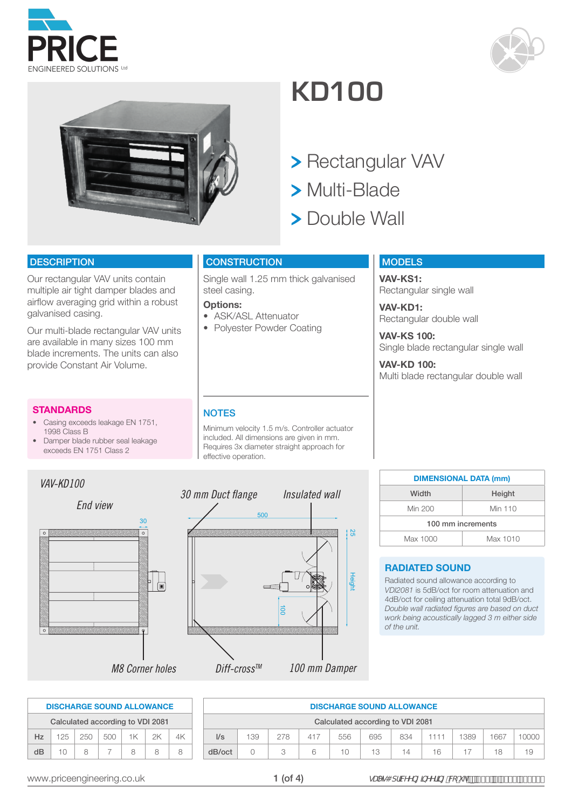





# **KD100**

- > Rectangular VAV
- Multi-Blade
- > Double Wall

#### **DESCRIPTION**

Our rectangular VAV units contain multiple air tight damper blades and airflow averaging grid within a robust galvanised casing.

Our multi-blade rectangular VAV units are available in many sizes 100 mm blade increments. The units can also provide Constant Air Volume.

#### **STANDARDS**

- Casing exceeds leakage EN 1751, 1998 Class B
- Damper blade rubber seal leakage exceeds EN 1751 Class 2

#### **CONSTRUCTION**

-<br>Single wall 1.25 mm thick galvanised steel casing.

#### **Options:**

- ASK/ASL Attenuator
- Polyester Powder Coating

#### **MODELS**

**VAV-KS1:** Rectangular single wall

**VAV-KD1:** Rectangular double wall

**VAV-KS 100:** Single blade rectangular single wall

**VAV-KD 100:** Multi blade rectangular double wall

#### **NOTES**

Minimum velocity 1.5 m/s. Controller actuator included. All dimensions are given in mm. Requires 3x diameter straight approach for effective operation.



| <b>DIMENSIONAL DATA (mm)</b> |          |
|------------------------------|----------|
| Width                        | Height   |
| Min 200                      | Min 110  |
| 100 mm increments            |          |
| Max 1000                     | Max 1010 |

#### **RADIATED SOUND**

Radiated sound allowance according to *VDI2081* is 5dB/oct for room attenuation and 4dB/oct for ceiling attenuation total 9dB/oct. *Double wall radiated figures are based on duct work being acoustically lagged 3 m either side of the unit.*

|     |     |     |     |    | <b>DISCHARGE SOUND ALLOWANCE</b> |    |
|-----|-----|-----|-----|----|----------------------------------|----|
|     |     |     |     |    | Calculated according to VDI 2081 |    |
| Hz. | 125 | 250 | 500 | 1K | 2K                               | ΔK |
| dB  | 10  | Χ   |     | Ω  |                                  |    |

|                | <b>DISCHARGE SOUND ALLOWANCE</b>                                       |   |   |        |    |    |    |  |    |    |  |  |
|----------------|------------------------------------------------------------------------|---|---|--------|----|----|----|--|----|----|--|--|
|                | Calculated according to VDI 2081                                       |   |   |        |    |    |    |  |    |    |  |  |
| $\mathsf{I/s}$ | 1667<br>139<br>278<br>556<br>1389<br>695<br>834<br>417<br>000C<br>1111 |   |   |        |    |    |    |  |    |    |  |  |
| dB/oct         |                                                                        | З | հ | $10 -$ | 13 | 14 | 16 |  | 18 | 19 |  |  |

www.priceengineering.co.uk  $1 (of 4)$   $gUYg4 dfWYb[$  by  $Yffb[$   $W'' = pZ($  (  $fB\%$  '  $($  , ')  $-$  \$\$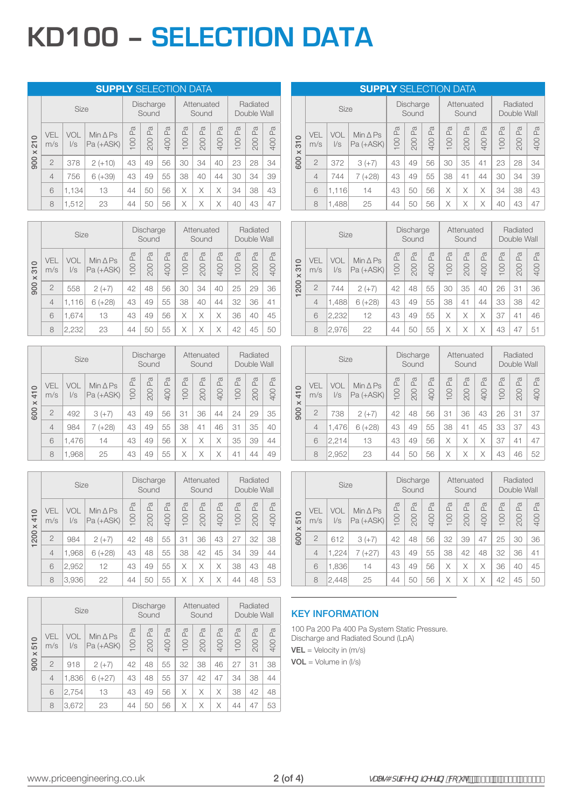# **KD100 – SELECTION DATA**

|                                        |                   |                   | <b>SUPPLY SELECTION DATA</b>      |           |                           |                             |          |                     |           |           |                                  |                           |
|----------------------------------------|-------------------|-------------------|-----------------------------------|-----------|---------------------------|-----------------------------|----------|---------------------|-----------|-----------|----------------------------------|---------------------------|
|                                        |                   | Size              |                                   |           | <b>Discharge</b><br>Sound |                             |          | Attenuated<br>Sound |           |           | Radiated<br>Double Wall          |                           |
| $\circ$<br>$\overline{21}$<br>$\times$ | <b>VEL</b><br>m/s | VOL<br>$\sqrt{s}$ | Min $\triangle$ Ps<br>$Pa (+ASK)$ | Pa<br>100 | Pa<br>200                 | P <sub>a</sub><br><b>00</b> | Æ<br>100 | Pa<br>200           | Pa<br>400 | Pa<br>100 | $\mathbb{P}_{\mathbb{Q}}$<br>200 | $\mathbb{E}$<br><b>00</b> |
| 900                                    | $\overline{2}$    | 378               | $2 (+10)$                         | 43        | 49                        | 56                          | 30       | 34                  | 40        | 23        | 28                               | 34                        |
|                                        | $\overline{4}$    | 756               | $6 (+39)$                         | 43        | 49                        | 55                          | 38       | 40                  | 44        | 30        | 34                               | 39                        |
|                                        | 6                 | 1,134             | 13                                | 44        | 50                        | 56                          | X        | Χ                   | X         | 34        | 38                               | 43                        |
|                                        | 8                 | 1,512             | 23                                | 44        | 50                        | 56                          | Χ        | Χ                   | X         | 40        | 43                               | 47                        |

|                                       |                | <b>Size</b>       |                                 |                     | Discharge<br>Sound |                |                     | Attenuated<br>Sound |                |           | Radiated<br>Double Wall |                      |
|---------------------------------------|----------------|-------------------|---------------------------------|---------------------|--------------------|----------------|---------------------|---------------------|----------------|-----------|-------------------------|----------------------|
| $\circ$<br>$\overline{5}$<br>$\times$ | VEL<br>m/s     | VOL<br>$\sqrt{s}$ | $Min \triangle PS$<br>Pa (+ASK) | $\mathbb{Z}$<br>100 | Pa<br>200          | Φ<br>ΔĹ<br>400 | $\mathbb{R}$<br>100 | Pa<br>200           | Pa<br>D<br>400 | Pa<br>100 | Φ<br>L<br>200           | $\sigma$<br>മ<br>400 |
| 900                                   | $\overline{2}$ | 558               | $2 (+7)$                        | 42                  | 48                 | 56             | 30                  | 34                  | 40             | 25        | 29                      | 36                   |
|                                       | $\overline{4}$ | 1,116             | $6 (+28)$                       | 43                  | 49                 | 55             | 38                  | 40                  | 44             | 32        | 36                      | 41                   |
|                                       | 6              | 1.674             | 13                              | 43                  | 49                 | 56             | Χ                   | Χ                   | X              | 36        | 40                      | 45                   |
|                                       | 8              | 2,232             | 23                              | 44                  | 50                 | 55             | Χ                   | Χ                   | Χ              | 42        | 45                      | 50                   |

|                                            |                | <b>Size</b>       |                                   |           | Discharge<br>Sound |                     |                       | Attenuated<br>Sound |                              |           | Radiated<br>Double Wall |           |
|--------------------------------------------|----------------|-------------------|-----------------------------------|-----------|--------------------|---------------------|-----------------------|---------------------|------------------------------|-----------|-------------------------|-----------|
| $\circ$<br>$\frac{1}{4}$<br>$\pmb{\times}$ | VEL<br>m/s     | VOL<br>$\sqrt{s}$ | $Min \triangle PS$<br>$Pa (+ASK)$ | Pa<br>100 | Pa<br>200          | $\mathbb{R}$<br>400 | P <sub>a</sub><br>100 | Pa<br>200           | $\mathbb{P}^{\alpha}$<br>400 | Pa<br>100 | Pa<br>200               | Pa<br>400 |
| 600                                        | $\overline{2}$ | 492               | $3 (+7)$                          | 43        | 49                 | 56                  | 31                    | 36                  | 44                           | 24        | 29                      | 35        |
|                                            | $\overline{4}$ | 984               | $7 (+28)$                         | 43        | 49                 | 55                  | 38                    | 41                  | 46                           | 31        | 35                      | 40        |
|                                            | 6              | 1.476             | 14                                | 43        | 49                 | 56                  | X                     | X                   | X                            | 35        | 39                      | 44        |
|                                            | 8              | 1,968             | 25                                | 43        | 49                 | 55                  | Χ                     |                     | Χ                            | 41        | 44                      | 49        |

|                                       |                | Size              |                                   |                     | Discharge<br>Sound  |                     |                     | Attenuated<br>Sound   |                             |                       | Radiated<br>Double Wall |                      |
|---------------------------------------|----------------|-------------------|-----------------------------------|---------------------|---------------------|---------------------|---------------------|-----------------------|-----------------------------|-----------------------|-------------------------|----------------------|
| $\circ$<br>$\overline{4}$<br>$\times$ | VFI<br>m/s     | VOL<br>$\sqrt{s}$ | Min $\triangle$ Ps<br>$Pa (+ASK)$ | $\mathbb{R}$<br>100 | $\mathbb{R}$<br>200 | $\mathbb{R}$<br>400 | $\mathbb{R}$<br>100 | P <sub>a</sub><br>200 | $\sigma$<br>$\alpha$<br>400 | P <sub>a</sub><br>100 | a<br>$\alpha$<br>200    | $\sigma$<br>Δ<br>400 |
| 1200                                  | $\overline{2}$ | 984               | $2 (+7)$                          | 42                  | 48                  | 55                  | 31                  | 36                    | 43                          | 27                    | 32                      | 38                   |
|                                       | $\overline{4}$ | 1,968             | $6 (+28)$                         | 43                  | 48                  | 55                  | 38                  | 42                    | 45                          | 34                    | 39                      | 44                   |
|                                       | 6              | 2,952             | 12                                | 43                  | 49                  | 55                  | X                   | X                     | X                           | 38                    | 43                      | 48                   |
|                                       | 8              | 3,936             | 22                                | 44                  | 50                  | 55                  | Χ                   | Χ                     | X                           | 44                    | 48                      | 53                   |

|                           |                | Size              |                                   |           | <b>Discharge</b><br>Sound |                       |           | Attenuated<br>Sound   |                       |           | Radiated<br>Double Wall |                      |
|---------------------------|----------------|-------------------|-----------------------------------|-----------|---------------------------|-----------------------|-----------|-----------------------|-----------------------|-----------|-------------------------|----------------------|
| $\circ$<br>51<br>$\times$ | VEL<br>m/s     | VOL<br>$\sqrt{s}$ | Min $\triangle$ Ps<br>$Pa (+ASK)$ | Pa<br>100 | Lã<br>200                 | P <sub>a</sub><br>400 | Pa<br>100 | P <sub>a</sub><br>200 | P <sub>a</sub><br>400 | Pa<br>100 | Pa<br>200               | $\sigma$<br>Ω<br>400 |
| 900                       | $\overline{2}$ | 918               | $2 (+7)$                          | 42        | 48                        | 55                    | 32        | 38                    | 46                    | 27        | 31                      | 38                   |
|                           | $\overline{4}$ | 1,836             | $6 (+27)$                         | 43        | 48                        | 55                    | 37        | 42                    | 47                    | 34        | 38                      | 44                   |
|                           | 6              | 2,754             | 13                                | 43        | 49                        | 56                    | X         | X                     | X                     | 38        | 42                      | 48                   |
|                           | 8              | 3,672             | 23                                | 44        | 50                        | 56                    | X         | X                     | X                     | 44        | 47                      | 53                   |

# **SUPPLY** SELECTION DATA

|                                       |                | Size              |                                 |           | Discharge<br>Sound    |           |                       | Attenuated<br>Sound |           |                       | Radiated<br>Double Wall |           |
|---------------------------------------|----------------|-------------------|---------------------------------|-----------|-----------------------|-----------|-----------------------|---------------------|-----------|-----------------------|-------------------------|-----------|
| $\circ$<br>$\overline{5}$<br>$\times$ | VEL<br>m/s     | VOL<br>$\sqrt{s}$ | Min $\triangle$ Ps<br>Pa (+ASK) | Pa<br>100 | P <sub>a</sub><br>200 | Pa<br>400 | P <sub>a</sub><br>100 | Pa<br>200           | Pa<br>400 | P <sub>a</sub><br>100 | P <sub>a</sub><br>200   | Pa<br>400 |
| 600                                   | $\overline{2}$ | 372               | $3 (+7)$                        | 43        | 49                    | 56        | 30                    | 35                  | 41        | 23                    | 28                      | 34        |
|                                       | $\overline{4}$ | 744               | $7 (+28)$                       | 43        | 49                    | 55        | 38                    | 41                  | 44        | 30                    | 34                      | 39        |
|                                       | 6              | 1,116             | 14                              | 43        | 50                    | 56        | X                     | Χ                   | X         | 34                    | 38                      | 43        |
|                                       | 8              | 1,488             | 25                              | 44        | 50                    | 56        | X                     | Χ                   | Χ         | 40                    | 43                      | 47        |

|                 |                | Size              |                                 |                     | <b>Discharge</b><br>Sound |                     |                                  | Attenuated<br>Sound |           |                                  | Radiated<br>Double Wall |           |
|-----------------|----------------|-------------------|---------------------------------|---------------------|---------------------------|---------------------|----------------------------------|---------------------|-----------|----------------------------------|-------------------------|-----------|
| 310<br>$\times$ | VEL<br>m/s     | VOL<br>$\sqrt{s}$ | Min $\triangle$ Ps<br>Pa (+ASK) | $\mathbb{R}$<br>100 | $\mathbb{E}$<br>200       | $\mathbb{R}$<br>400 | $\mathbb{P}_{\mathbb{Q}}$<br>100 | Pa<br>200           | Pa<br>400 | $\mathbb{P}_{\mathbb{Q}}$<br>100 | $\mathbb{R}$<br>200     | Pa<br>400 |
| 1200            | $\overline{2}$ | 744               | $2 (+7)$                        | 42                  | 48                        | 55                  | 30                               | 35                  | 40        | 26                               | 31                      | 36        |
|                 | $\overline{4}$ | 1,488             | $6 (+28)$                       | 43                  | 49                        | 55                  | 38                               | 41                  | 44        | 33                               | 38                      | 42        |
|                 | 6              | 2,232             | 12                              | 43                  | 49                        | 55                  | $\times$                         | X                   | X         | 37                               | 41                      | 46        |
|                 | 8              | 2,976             | 22                              | 44                  | 50                        | 55                  | X                                | Χ                   | X         | 43                               | 47                      | 51        |

|                                       |                | Size              |                                   |                           | Discharge<br>Sound  |           |           | Attenuated<br>Sound |           |                                                 | Radiated<br>Double Wall |           |
|---------------------------------------|----------------|-------------------|-----------------------------------|---------------------------|---------------------|-----------|-----------|---------------------|-----------|-------------------------------------------------|-------------------------|-----------|
| $\circ$<br>$\overline{4}$<br>$\times$ | VEL<br>m/s     | VOL<br>$\sqrt{s}$ | Min $\triangle$ Ps<br>$Pa (+ASK)$ | P <sub>a</sub><br>$\odot$ | $\mathbb{E}$<br>200 | Pa<br>400 | Pa<br>100 | Pa<br>200           | Pa<br>400 | P <sub>a</sub><br>8<br>$\overline{\phantom{0}}$ | P <sub>a</sub><br>200   | Pa<br>400 |
| 900                                   | $\overline{2}$ | 738               | $2 (+7)$                          | 42                        | 48                  | 56        | 31        | 36                  | 43        | 26                                              | 31                      | 37        |
|                                       | $\overline{4}$ | 1,476             | $6 (+28)$                         | 43                        | 49                  | 55        | 38        | 41                  | 45        | 33                                              | 37                      | 43        |
|                                       | 6              | 2,214             | 13                                | 43                        | 49                  | 56        | X         | X                   | X         | 37                                              | 41                      | 47        |
|                                       | 8              | 2,952             | 23                                | 44                        | 50                  | 56        | X         | Χ                   | X         | 43                                              | 46                      | 52        |

|                           |                   | Size              |                                 |                     | Discharge<br>Sound  |                       |                     | Attenuated<br>Sound |                    |                     | Radiated<br>Double Wall     |        |
|---------------------------|-------------------|-------------------|---------------------------------|---------------------|---------------------|-----------------------|---------------------|---------------------|--------------------|---------------------|-----------------------------|--------|
| $\circ$<br>51<br>$\times$ | <b>VFI</b><br>m/s | VOL<br>$\sqrt{s}$ | Min $\triangle$ Ps<br>Pa (+ASK) | $\mathbb{R}$<br>100 | $\mathbb{R}$<br>200 | P <sub>a</sub><br>400 | $\mathbb{R}$<br>100 | $\mathbb{R}$<br>200 | $\mathbb{R}$<br>00 | $\mathbb{R}$<br>100 | $\sigma$<br>$\alpha$<br>200 | 400 Pa |
| 600                       | $\overline{2}$    | 612               | $3 (+7)$                        | 42                  | 48                  | 56                    | 32                  | 39                  | 47                 | 25                  | 30                          | 36     |
|                           | $\overline{4}$    | 1,224             | $7 (+27)$                       | 43                  | 49                  | 55                    | 38                  | 42                  | 48                 | 32                  | 36                          | 41     |
|                           | 6                 | 1,836             | 14                              | 43                  | 49                  | 56                    | $\times$            | X                   | Χ                  | 36                  | 40                          | 45     |
|                           | 8                 | 2,448             | 25                              | 44                  | 50                  | 56                    | X                   | X                   | Χ                  | 42                  | 45                          | 50     |

## KEY INFORMATION

100 Pa 200 Pa 400 Pa System Static Pressure. Discharge and Radiated Sound (LpA)  $VEL = Velocity in (m/s)$  $VOL = Volume in (l/s)$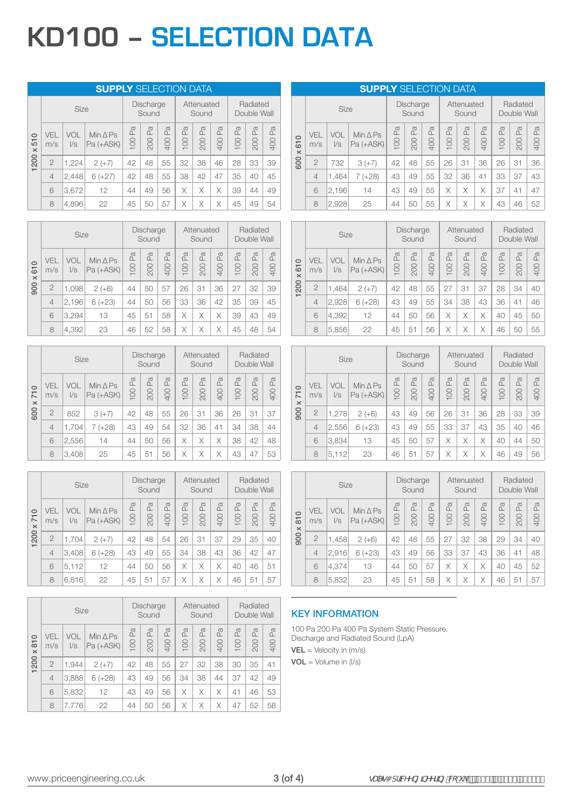# **KD100 – SELECTION DATA**

|                         |                |                   | <b>SUPPLY SELECTION DATA</b>      |           |                           |                |           |                       |                     |                       |                         |                |
|-------------------------|----------------|-------------------|-----------------------------------|-----------|---------------------------|----------------|-----------|-----------------------|---------------------|-----------------------|-------------------------|----------------|
|                         |                | <b>Size</b>       |                                   |           | <b>Discharge</b><br>Sound |                |           | Attenuated<br>Sound   |                     |                       | Radiated<br>Double Wall |                |
| 510<br>$\times$<br>1200 | VEL<br>m/s     | VOL<br>$\sqrt{s}$ | Min $\triangle$ Ps<br>$Pa (+ASK)$ | Pa<br>100 | P <sub>a</sub><br>200     | Æ<br><b>00</b> | Pa<br>100 | P <sub>a</sub><br>200 | $\mathbb{E}$<br>400 | P <sub>a</sub><br>100 | Pa<br>200               | Æ<br><b>00</b> |
|                         | $\overline{2}$ | 1,224             | $2 (+7)$                          | 42        | 48                        | 55             | 32        | 38                    | 46                  | 28                    | 33                      | 39             |
|                         | $\overline{4}$ | 2,448             | $6 (+27)$                         | 42        | 48                        | 55             | 38        | 42                    | 47                  | 35                    | 40                      | 45             |
|                         | 6              | 3,672             | 12                                | 44        | 49                        | 56             | X         | Χ                     | $\times$            | 39                    | 44                      | 49             |
|                         | 8              | 4,896             | 22                                | 45        | 50                        | 57             | Χ         | Χ                     | X                   | 45                    | 49                      | 54             |

|                                              |                | Size              |                                 |                     | Discharge<br>Sound  |                      |                    | Attenuated<br>Sound |                     |                            | Radiated<br>Double Wall |                       |
|----------------------------------------------|----------------|-------------------|---------------------------------|---------------------|---------------------|----------------------|--------------------|---------------------|---------------------|----------------------------|-------------------------|-----------------------|
| $\circ$<br>$\overline{6}$<br>$\times$<br>900 | VEL<br>m/s     | VOL<br>$\sqrt{s}$ | Min $\triangle$ Ps<br>Pa (+ASK) | $\mathbb{Z}$<br>100 | $\mathbb{R}$<br>200 | $\sigma$<br>≏<br>400 | a<br>$\alpha$<br>8 | $\mathbb{R}$<br>200 | $\mathbb{R}$<br>400 | Φ<br>$\mathfrak{a}$<br>100 | a<br>$\Box$<br>200      | $\sigma$<br>ΩĹ<br>400 |
|                                              | $\overline{2}$ | 1,098             | $2 (+6)$                        | 44                  | 50                  | 57                   | 26                 | 31                  | 36                  | 27                         | 32                      | 39                    |
|                                              | $\overline{4}$ | 2,196             | $6 (+23)$                       | 44                  | 50                  | 56                   | 33                 | 36                  | 42                  | 35                         | 39                      | 45                    |
|                                              | 6              | 3,294             | 13                              | 45                  | 51                  | 58                   | Χ                  | Χ                   | Χ                   | 39                         | 43                      | 49                    |
|                                              | 8              | 4,392             | 23                              | 46                  | 52                  | 58                   | X                  | Χ                   | Χ                   | 45                         | 48                      | 54                    |

|                                              |                | <b>Size</b>       |                                 |           | Discharge<br>Sound |                       |           | Attenuated<br>Sound |           |           | Radiated<br>Double Wall |           |
|----------------------------------------------|----------------|-------------------|---------------------------------|-----------|--------------------|-----------------------|-----------|---------------------|-----------|-----------|-------------------------|-----------|
| $\circ$<br>$\overline{7}$<br>$\times$<br>600 | VEL<br>m/s     | VOL<br>$\sqrt{s}$ | Min $\triangle$ Ps<br>Pa (+ASK) | Pa<br>100 | Pa<br>200          | P <sub>a</sub><br>400 | Pa<br>100 | Pa<br>200           | Pa<br>400 | Pa<br>100 | Pa<br>200               | Pa<br>400 |
|                                              | $\overline{2}$ | 852               | $3 (+7)$                        | 42        | 48                 | 55                    | 26        | 31                  | 36        | 26        | 31                      | 37        |
|                                              | $\overline{4}$ | 1,704             | $(+28)$<br>7                    | 43        | 49                 | 54                    | 32        | 36                  | 41        | 34        | 38                      | 44        |
|                                              | 6              | 2,556             | 14                              | 44        | 50                 | 56                    | X         | X                   | X         | 38        | 42                      | 48        |
|                                              | 8              | 3,408             | 25                              | 45        | 51                 | 56                    | Χ         | Χ                   | Χ         | 43        | 47                      | 53        |

|                                               |                | <b>Size</b>       |                                   |        | Discharge<br>Sound  |                     |                       | Attenuated<br>Sound   |           |                     | Radiated<br>Double Wall |                     |
|-----------------------------------------------|----------------|-------------------|-----------------------------------|--------|---------------------|---------------------|-----------------------|-----------------------|-----------|---------------------|-------------------------|---------------------|
| $\circ$<br>$\overline{7}$<br>$\times$<br>1200 | VEL<br>m/s     | VOL<br>$\sqrt{s}$ | Min $\triangle$ Ps<br>$Pa (+ASK)$ | 100 Pa | $\mathbb{R}$<br>200 | $\mathbb{R}$<br>400 | P <sub>a</sub><br>100 | P <sub>a</sub><br>200 | Pa<br>400 | $\mathbb{R}$<br>100 | Pa<br>200               | $\mathbb{R}$<br>400 |
|                                               | $\overline{2}$ | 1,704             | $2 (+7)$                          | 42     | 48                  | 54                  | 26                    | 31                    | 37        | 29                  | 35                      | 40                  |
|                                               | $\overline{4}$ | 3,408             | $6 (+28)$                         | 43     | 49                  | 55                  | 34                    | 38                    | 43        | 36                  | 42                      | 47                  |
|                                               | 6              | 5,112             | 12                                | 44     | 50                  | 56                  | X                     | X                     | X         | 40                  | 46                      | 51                  |
|                                               | 8              | 6,816             | 22                                | 45     | 51                  | 57                  | Χ                     | X                     | X         | 46                  | 51                      | 57                  |

|                                               |                | Size              |                                   |           | <b>Discharge</b><br>Sound |                       |           | Attenuated<br>Sound |                       |           | Radiated<br>Double Wall |                                    |
|-----------------------------------------------|----------------|-------------------|-----------------------------------|-----------|---------------------------|-----------------------|-----------|---------------------|-----------------------|-----------|-------------------------|------------------------------------|
| $\circ$<br>$\overline{5}$<br>$\times$<br>1200 | VEL<br>m/s     | VOL<br>$\sqrt{s}$ | Min $\triangle$ Ps<br>$Pa (+ASK)$ | Pa<br>100 | Lã<br>200                 | P <sub>a</sub><br>400 | Pa<br>100 | Pa<br>200           | P <sub>a</sub><br>400 | Pa<br>100 | Pa<br>200               | $\sigma$<br>$\Omega$<br><b>QO+</b> |
|                                               | $\overline{2}$ | 1.944             | $2 (+7)$                          | 42        | 48                        | 55                    | 27        | 32                  | 38                    | 30        | 35                      | 41                                 |
|                                               | 4              | 3,888             | $6 (+28)$                         | 43        | 49                        | 56                    | 34        | 38                  | 44                    | 37        | 42                      | 49                                 |
|                                               | 6              | 5,832             | 12                                | 43        | 49                        | 56                    | X         | X                   | X                     | 41        | 46                      | 53                                 |
|                                               | 8              | 7,776             | 22                                | 44        | 50                        | 56                    | X         | Χ                   | X                     | 47        | 52                      | 58                                 |

# **SUPPLY** SELECTION DATA

|                                              |                | Size              |                                 |                     | <b>Discharge</b><br>Sound |          |                                    | Attenuated<br>Sound |          |                       | Radiated<br>Double Wall |              |
|----------------------------------------------|----------------|-------------------|---------------------------------|---------------------|---------------------------|----------|------------------------------------|---------------------|----------|-----------------------|-------------------------|--------------|
| $\circ$<br>$\overline{6}$<br>$\times$<br>600 | VEL<br>m/s     | VOL<br>$\sqrt{s}$ | Min $\triangle$ Ps<br>Pa (+ASK) | $\mathbb{Z}$<br>100 | P <sub>a</sub><br>200     | Æ<br>400 | $\mathbb{P}^{\mathfrak{A}}$<br>100 | $\mathbb{R}$<br>200 | Pa<br>00 | P <sub>a</sub><br>100 | $\mathbb{R}$<br>200     | $\Xi$<br>400 |
|                                              | $\overline{2}$ | 732               | $3 (+7)$                        | 42                  | 48                        | 55       | 26                                 | 31                  | 36       | 26                    | 31                      | 36           |
|                                              | $\overline{4}$ | 1,464             | $(+28)$<br>7                    | 43                  | 49                        | 55       | 32                                 | 36                  | 41       | 33                    | 37                      | 43           |
|                                              | 6              | 2,196             | 14                              | 43                  | 49                        | 55       | X                                  | Χ                   | X        | 37                    | 41                      | 47           |
|                                              | 8              | 2,928             | 25                              | 44                  | 50                        | 55       | X                                  | Χ                   | Χ        | 43                    | 46                      | 52           |

|                                               |                   | Size              |                                   |                | <b>Discharge</b><br>Sound        |                     |                                  | Attenuated<br>Sound |           |                                  | Radiated<br>Double Wall |           |
|-----------------------------------------------|-------------------|-------------------|-----------------------------------|----------------|----------------------------------|---------------------|----------------------------------|---------------------|-----------|----------------------------------|-------------------------|-----------|
| $\circ$<br>$\overline{5}$<br>$\times$<br>1200 | <b>VFI</b><br>m/s | VOL<br>$\sqrt{s}$ | Min $\triangle$ Ps<br>$Pa (+ASK)$ | Pa<br>P<br>100 | $\mathbb{P}_{\mathbb{Q}}$<br>200 | $\mathbb{R}$<br>400 | $\mathbb{P}_{\mathbb{Q}}$<br>100 | Pa<br>200           | Pa<br>400 | $\mathbb{P}_{\mathbb{Q}}$<br>100 | Pa<br>200               | Pa<br>400 |
|                                               | $\overline{2}$    | 1,464             | $2 (+7)$                          | 42             | 48                               | 55                  | 27                               | 31                  | 37        | 28                               | 34                      | 40        |
|                                               | $\overline{4}$    | 2,928             | $6 (+28)$                         | 43             | 49                               | 55                  | 34                               | 38                  | 43        | 36                               | 41                      | 46        |
|                                               | 6                 | 4,392             | 12                                | 44             | 50                               | 56                  | X                                | X                   | X         | 40                               | 45                      | 50        |
|                                               | 8                 | 5,856             | 22                                | 45             | 51                               | 56                  | X                                | X                   | Χ         | 46                               | 50                      | 55        |

|                                              |                | Size              |                                   |                           | Discharge<br>Sound  |           |           | Attenuated<br>Sound |           |                                                 | Radiated<br>Double Wall |           |
|----------------------------------------------|----------------|-------------------|-----------------------------------|---------------------------|---------------------|-----------|-----------|---------------------|-----------|-------------------------------------------------|-------------------------|-----------|
| $\circ$<br>$\overline{7}$<br>$\times$<br>900 | VEL<br>m/s     | VOL<br>$\sqrt{s}$ | Min $\triangle$ Ps<br>$Pa (+ASK)$ | P <sub>a</sub><br>$\odot$ | $\mathbb{E}$<br>200 | Pa<br>400 | Pa<br>100 | Pa<br>200           | Pa<br>400 | P <sub>a</sub><br>8<br>$\overline{\phantom{0}}$ | Pa<br>200               | Pa<br>400 |
|                                              | $\overline{2}$ | 1,278             | $2 (+6)$                          | 43                        | 49                  | 56        | 26        | 31                  | 36        | 28                                              | 33                      | 39        |
|                                              | $\overline{4}$ | 2,556             | $6 (+23)$                         | 43                        | 49                  | 55        | 33        | 37                  | 43        | 35                                              | 40                      | 46        |
|                                              | 6              | 3,834             | 13                                | 45                        | 50                  | 57        | X         | X                   | X         | 40                                              | 44                      | 50        |
|                                              | 8              | 5,112             | 23                                | 46                        | 51                  | 57        | X         | Χ                   | X         | 46                                              | 49                      | 56        |

|                                              |                   | Size              |                                   |                     | <b>Discharge</b><br>Sound |                            |                       | Attenuated<br>Sound |          |                     | Radiated<br>Double Wall     |           |
|----------------------------------------------|-------------------|-------------------|-----------------------------------|---------------------|---------------------------|----------------------------|-----------------------|---------------------|----------|---------------------|-----------------------------|-----------|
| $\circ$<br>$\overline{5}$<br>$\times$<br>900 | <b>VEL</b><br>m/s | VOL<br>$\sqrt{s}$ | Min $\triangle$ Ps<br>$Pa (+ASK)$ | $\mathbb{R}$<br>100 | $\mathbb{R}$<br>200       | $\mathbb{R}$<br><b>00t</b> | P <sub>a</sub><br>100 | Pa<br>200           | Pa<br>00 | $\mathbb{R}$<br>100 | $\sigma$<br>$\alpha$<br>200 | Pa<br>400 |
|                                              | $\overline{2}$    | 1,458             | $2 (+6)$                          | 42                  | 48                        | 55                         | 27                    | 32                  | 38       | 29                  | 34                          | 40        |
|                                              | $\overline{4}$    | 2,916             | $6 (+23)$                         | 43                  | 49                        | 56                         | 33                    | 37                  | 43       | 36                  | 41                          | 48        |
|                                              | 6                 | 4.374             | 13                                | 44                  | 50                        | 57                         | X                     | X                   | X        | 40                  | 45                          | 52        |
|                                              | 8                 | 5,832             | 23                                | 45                  | 51                        | 58                         | X                     | X                   | X        | 46                  | 51                          | 57        |

## KEY INFORMATION

100 Pa 200 Pa 400 Pa System Static Pressure. Discharge and Radiated Sound (LpA)  $VEL = Velocity in (m/s)$  $VOL = Volume in (I/s)$